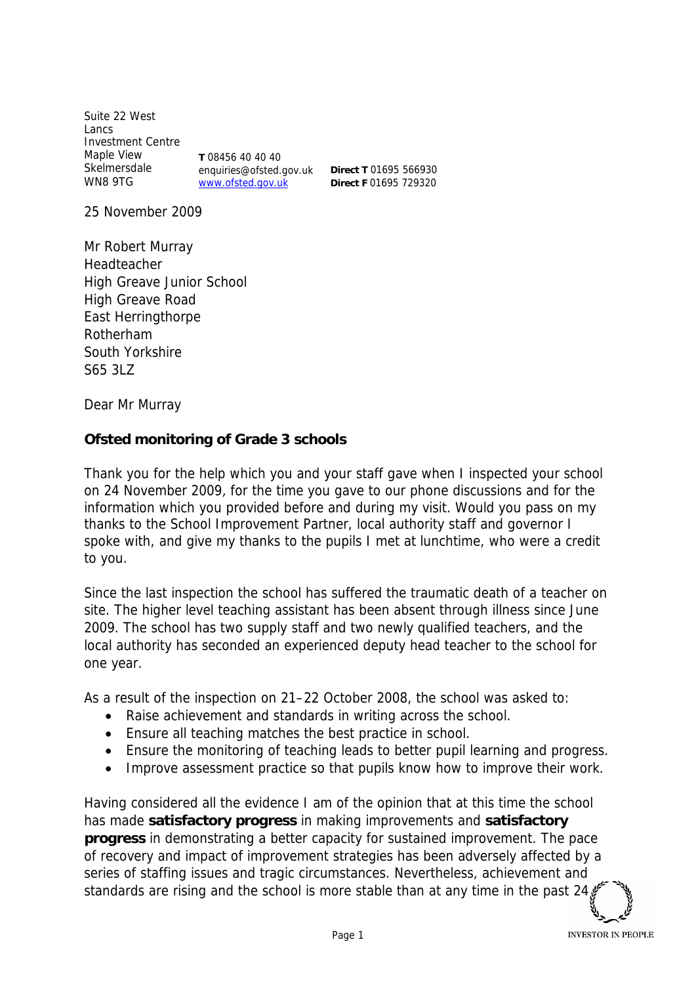Suite 22 West Lancs Investment Centre Maple View Skelmersdale WN8 9TG **T** 08456 40 40 40 enquiries@ofsted.gov.uk www.ofsted.gov.uk

**Direct T** 01695 566930 **Direct F** 01695 729320

25 November 2009

Mr Robert Murray Headteacher High Greave Junior School High Greave Road East Herringthorpe Rotherham South Yorkshire S65 3LZ

Dear Mr Murray

**Ofsted monitoring of Grade 3 schools**

Thank you for the help which you and your staff gave when I inspected your school on 24 November 2009, for the time you gave to our phone discussions and for the information which you provided before and during my visit. Would you pass on my thanks to the School Improvement Partner, local authority staff and governor I spoke with, and give my thanks to the pupils I met at lunchtime, who were a credit to you.

Since the last inspection the school has suffered the traumatic death of a teacher on site. The higher level teaching assistant has been absent through illness since June 2009. The school has two supply staff and two newly qualified teachers, and the local authority has seconded an experienced deputy head teacher to the school for one year.

As a result of the inspection on 21–22 October 2008, the school was asked to:

- Raise achievement and standards in writing across the school.
- Ensure all teaching matches the best practice in school.
- Ensure the monitoring of teaching leads to better pupil learning and progress.
- Improve assessment practice so that pupils know how to improve their work.

Having considered all the evidence I am of the opinion that at this time the school has made **satisfactory progress** in making improvements and **satisfactory progress** in demonstrating a better capacity for sustained improvement. The pace of recovery and impact of improvement strategies has been adversely affected by a series of staffing issues and tragic circumstances. Nevertheless, achievement and standards are rising and the school is more stable than at any time in the past 24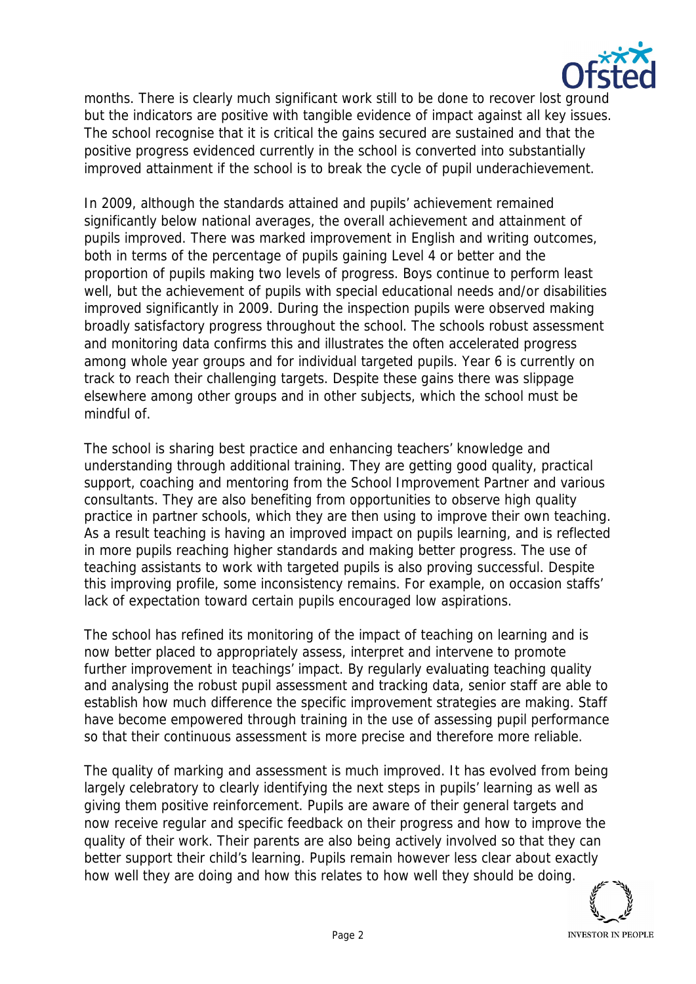

months. There is clearly much significant work still to be done to recover lost ground but the indicators are positive with tangible evidence of impact against all key issues. The school recognise that it is critical the gains secured are sustained and that the positive progress evidenced currently in the school is converted into substantially improved attainment if the school is to break the cycle of pupil underachievement.

In 2009, although the standards attained and pupils' achievement remained significantly below national averages, the overall achievement and attainment of pupils improved. There was marked improvement in English and writing outcomes, both in terms of the percentage of pupils gaining Level 4 or better and the proportion of pupils making two levels of progress. Boys continue to perform least well, but the achievement of pupils with special educational needs and/or disabilities improved significantly in 2009. During the inspection pupils were observed making broadly satisfactory progress throughout the school. The schools robust assessment and monitoring data confirms this and illustrates the often accelerated progress among whole year groups and for individual targeted pupils. Year 6 is currently on track to reach their challenging targets. Despite these gains there was slippage elsewhere among other groups and in other subjects, which the school must be mindful of.

The school is sharing best practice and enhancing teachers' knowledge and understanding through additional training. They are getting good quality, practical support, coaching and mentoring from the School Improvement Partner and various consultants. They are also benefiting from opportunities to observe high quality practice in partner schools, which they are then using to improve their own teaching. As a result teaching is having an improved impact on pupils learning, and is reflected in more pupils reaching higher standards and making better progress. The use of teaching assistants to work with targeted pupils is also proving successful. Despite this improving profile, some inconsistency remains. For example, on occasion staffs' lack of expectation toward certain pupils encouraged low aspirations.

The school has refined its monitoring of the impact of teaching on learning and is now better placed to appropriately assess, interpret and intervene to promote further improvement in teachings' impact. By regularly evaluating teaching quality and analysing the robust pupil assessment and tracking data, senior staff are able to establish how much difference the specific improvement strategies are making. Staff have become empowered through training in the use of assessing pupil performance so that their continuous assessment is more precise and therefore more reliable.

The quality of marking and assessment is much improved. It has evolved from being largely celebratory to clearly identifying the next steps in pupils' learning as well as giving them positive reinforcement. Pupils are aware of their general targets and now receive regular and specific feedback on their progress and how to improve the quality of their work. Their parents are also being actively involved so that they can better support their child's learning. Pupils remain however less clear about exactly how well they are doing and how this relates to how well they should be doing.